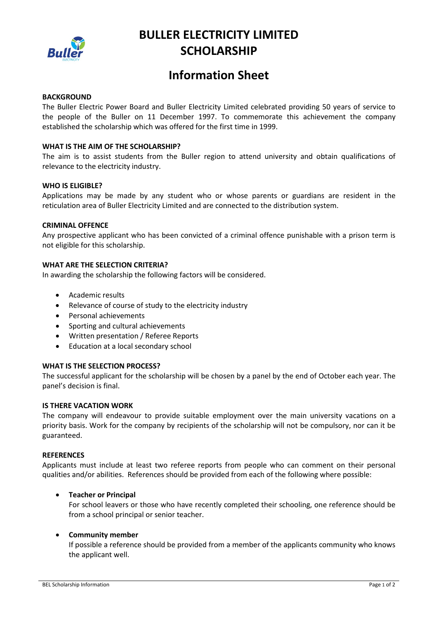

# **BULLER ELECTRICITY LIMITED SCHOLARSHIP**

# **Information Sheet**

# **BACKGROUND**

The Buller Electric Power Board and Buller Electricity Limited celebrated providing 50 years of service to the people of the Buller on 11 December 1997. To commemorate this achievement the company established the scholarship which was offered for the first time in 1999.

# **WHAT IS THE AIM OF THE SCHOLARSHIP?**

The aim is to assist students from the Buller region to attend university and obtain qualifications of relevance to the electricity industry.

# **WHO IS ELIGIBLE?**

Applications may be made by any student who or whose parents or guardians are resident in the reticulation area of Buller Electricity Limited and are connected to the distribution system.

## **CRIMINAL OFFENCE**

Any prospective applicant who has been convicted of a criminal offence punishable with a prison term is not eligible for this scholarship.

# **WHAT ARE THE SELECTION CRITERIA?**

In awarding the scholarship the following factors will be considered.

- Academic results
- Relevance of course of study to the electricity industry
- Personal achievements
- Sporting and cultural achievements
- Written presentation / Referee Reports
- Education at a local secondary school

## **WHAT IS THE SELECTION PROCESS?**

The successful applicant for the scholarship will be chosen by a panel by the end of October each year. The panel's decision is final.

# **IS THERE VACATION WORK**

The company will endeavour to provide suitable employment over the main university vacations on a priority basis. Work for the company by recipients of the scholarship will not be compulsory, nor can it be guaranteed.

# **REFERENCES**

Applicants must include at least two referee reports from people who can comment on their personal qualities and/or abilities. References should be provided from each of the following where possible:

#### • **Teacher or Principal**

For school leavers or those who have recently completed their schooling, one reference should be from a school principal or senior teacher.

#### • **Community member**

If possible a reference should be provided from a member of the applicants community who knows the applicant well.